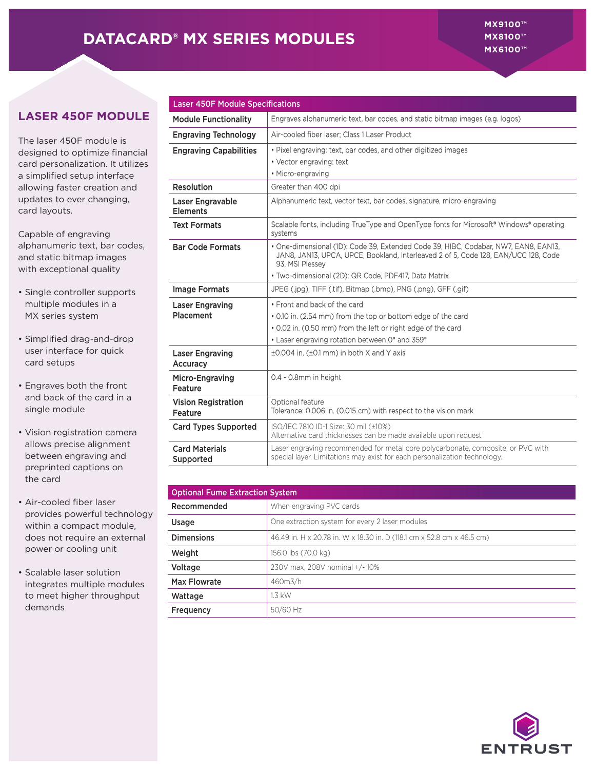## **DATACARD® MX SERIES MODULES**

## **LASER 450F MODULE**

The laser 450F module is designed to optimize financial card personalization. It utilizes a simplified setup interface allowing faster creation and updates to ever changing, card layouts.

Capable of engraving alphanumeric text, bar codes, and static bitmap images with exceptional quality

- Single controller supports multiple modules in a MX series system
- Simplified drag-and-drop user interface for quick card setups
- Engraves both the front and back of the card in a single module
- Vision registration camera allows precise alignment between engraving and preprinted captions on the card
- Air-cooled fiber laser provides powerful technology within a compact module, does not require an external power or cooling unit
- Scalable laser solution integrates multiple modules to meet higher throughput demands

| <b>Laser 450F Module Specifications</b>      |                                                                                                                                                                                              |  |  |  |  |
|----------------------------------------------|----------------------------------------------------------------------------------------------------------------------------------------------------------------------------------------------|--|--|--|--|
| <b>Module Functionality</b>                  | Engraves alphanumeric text, bar codes, and static bitmap images (e.g. logos)                                                                                                                 |  |  |  |  |
| <b>Engraving Technology</b>                  | Air-cooled fiber laser: Class 1 Laser Product                                                                                                                                                |  |  |  |  |
| <b>Engraving Capabilities</b>                | • Pixel engraving: text, bar codes, and other digitized images                                                                                                                               |  |  |  |  |
|                                              | • Vector engraving: text                                                                                                                                                                     |  |  |  |  |
|                                              | • Micro-engraving                                                                                                                                                                            |  |  |  |  |
| <b>Resolution</b>                            | Greater than 400 dpi                                                                                                                                                                         |  |  |  |  |
| Laser Engravable<br><b>Elements</b>          | Alphanumeric text, vector text, bar codes, signature, micro-engraving                                                                                                                        |  |  |  |  |
| <b>Text Formats</b>                          | Scalable fonts, including TrueType and OpenType fonts for Microsoft <sup>®</sup> Windows <sup>®</sup> operating<br>systems                                                                   |  |  |  |  |
| <b>Bar Code Formats</b>                      | • One-dimensional (1D): Code 39. Extended Code 39. HIBC, Codabar, NW7, EAN8, EAN13.<br>JAN8, JAN13, UPCA, UPCE, Bookland, Interleaved 2 of 5, Code 128, EAN/UCC 128, Code<br>93, MSI Plessey |  |  |  |  |
|                                              | · Two-dimensional (2D): QR Code, PDF417, Data Matrix                                                                                                                                         |  |  |  |  |
| <b>Image Formats</b>                         | JPEG (.jpg), TIFF (.tif), Bitmap (.bmp), PNG (.png), GFF (.gif)                                                                                                                              |  |  |  |  |
| <b>Laser Engraving</b>                       | • Front and back of the card                                                                                                                                                                 |  |  |  |  |
| <b>Placement</b>                             | • 0.10 in. (2.54 mm) from the top or bottom edge of the card                                                                                                                                 |  |  |  |  |
|                                              | • 0.02 in. (0.50 mm) from the left or right edge of the card                                                                                                                                 |  |  |  |  |
|                                              | • Laser engraving rotation between 0° and 359°                                                                                                                                               |  |  |  |  |
| <b>Laser Engraving</b><br><b>Accuracy</b>    | ±0.004 in. (±0.1 mm) in both X and Y axis                                                                                                                                                    |  |  |  |  |
| <b>Micro-Engraving</b><br><b>Feature</b>     | 0.4 - 0.8mm in height                                                                                                                                                                        |  |  |  |  |
| <b>Vision Registration</b><br><b>Feature</b> | Optional feature<br>Tolerance: 0.006 in. (0.015 cm) with respect to the vision mark                                                                                                          |  |  |  |  |
| <b>Card Types Supported</b>                  | ISO/IEC 7810 ID-1 Size: 30 mil (±10%)<br>Alternative card thicknesses can be made available upon request                                                                                     |  |  |  |  |
| <b>Card Materials</b><br>Supported           | Laser engraving recommended for metal core polycarbonate, composite, or PVC with<br>special layer. Limitations may exist for each personalization technology.                                |  |  |  |  |

| <b>Optional Fume Extraction System</b> |                                                                        |  |  |  |
|----------------------------------------|------------------------------------------------------------------------|--|--|--|
| Recommended                            | When engraving PVC cards                                               |  |  |  |
| Usage                                  | One extraction system for every 2 laser modules                        |  |  |  |
| <b>Dimensions</b>                      | 46.49 in. H x 20.78 in. W x 18.30 in. D (118.1 cm x 52.8 cm x 46.5 cm) |  |  |  |
| Weight                                 | 156.0 lbs (70.0 kg)                                                    |  |  |  |
| Voltage                                | 230V max, 208V nominal +/-10%                                          |  |  |  |
| Max Flowrate                           | 460m3/h                                                                |  |  |  |
| Wattage                                | 1.3 kW                                                                 |  |  |  |
| Frequency                              | 50/60 Hz                                                               |  |  |  |